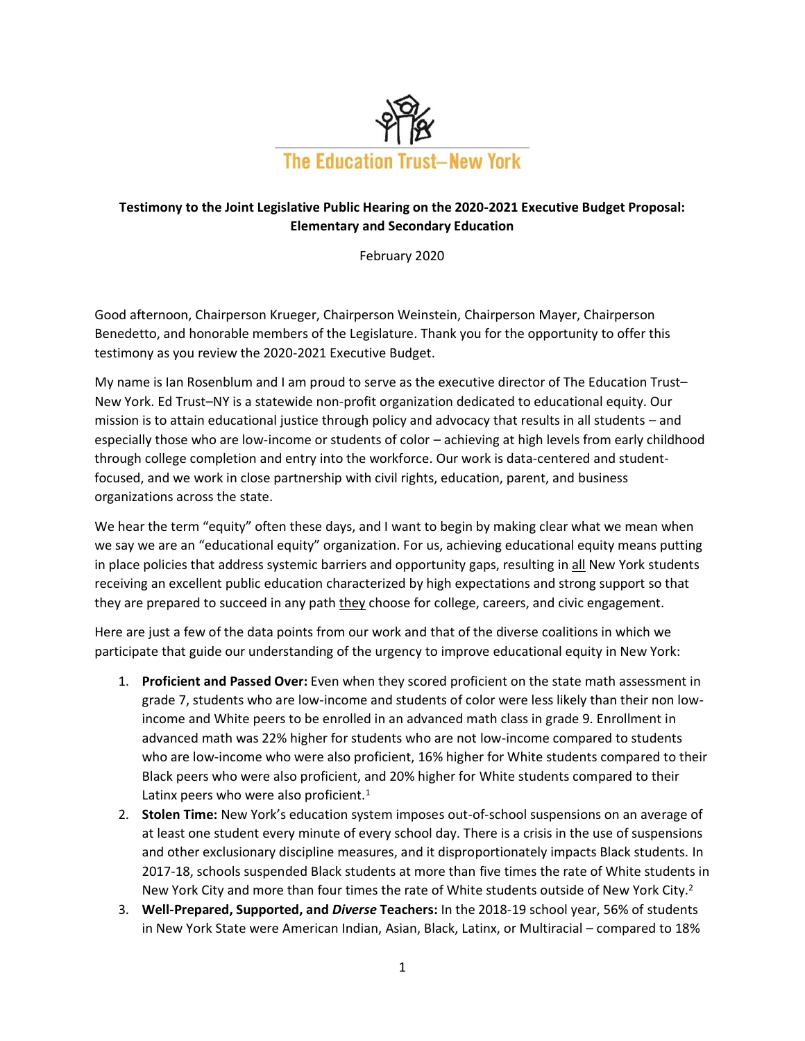

# **Testimony to the Joint Legislative Public Hearing on the 2020-2021 Executive Budget Proposal: Elementary and Secondary Education**

February 2020

Good afternoon, Chairperson Krueger, Chairperson Weinstein, Chairperson Mayer, Chairperson Benedetto, and honorable members of the Legislature. Thank you for the opportunity to offer this testimony as you review the 2020-2021 Executive Budget.

My name is Ian Rosenblum and I am proud to serve as the executive director of The Education Trust– New York. Ed Trust–NY is a statewide non-profit organization dedicated to educational equity. Our mission is to attain educational justice through policy and advocacy that results in all students – and especially those who are low-income or students of color – achieving at high levels from early childhood through college completion and entry into the workforce. Our work is data-centered and studentfocused, and we work in close partnership with civil rights, education, parent, and business organizations across the state.

We hear the term "equity" often these days, and I want to begin by making clear what we mean when we say we are an "educational equity" organization. For us, achieving educational equity means putting in place policies that address systemic barriers and opportunity gaps, resulting in all New York students receiving an excellent public education characterized by high expectations and strong support so that they are prepared to succeed in any path they choose for college, careers, and civic engagement.

Here are just a few of the data points from our work and that of the diverse coalitions in which we participate that guide our understanding of the urgency to improve educational equity in New York:

- 1. **Proficient and Passed Over:** Even when they scored proficient on the state math assessment in grade 7, students who are low-income and students of color were less likely than their non lowincome and White peers to be enrolled in an advanced math class in grade 9. Enrollment in advanced math was 22% higher for students who are not low-income compared to students who are low-income who were also proficient, 16% higher for White students compared to their Black peers who were also proficient, and 20% higher for White students compared to their Latinx peers who were also proficient. $1$
- 2. **Stolen Time:** New York's education system imposes out-of-school suspensions on an average of at least one student every minute of every school day. There is a crisis in the use of suspensions and other exclusionary discipline measures, and it disproportionately impacts Black students. In 2017-18, schools suspended Black students at more than five times the rate of White students in New York City and more than four times the rate of White students outside of New York City.<sup>2</sup>
- 3. **Well-Prepared, Supported, and** *Diverse* **Teachers:** In the 2018-19 school year, 56% of students in New York State were American Indian, Asian, Black, Latinx, or Multiracial – compared to 18%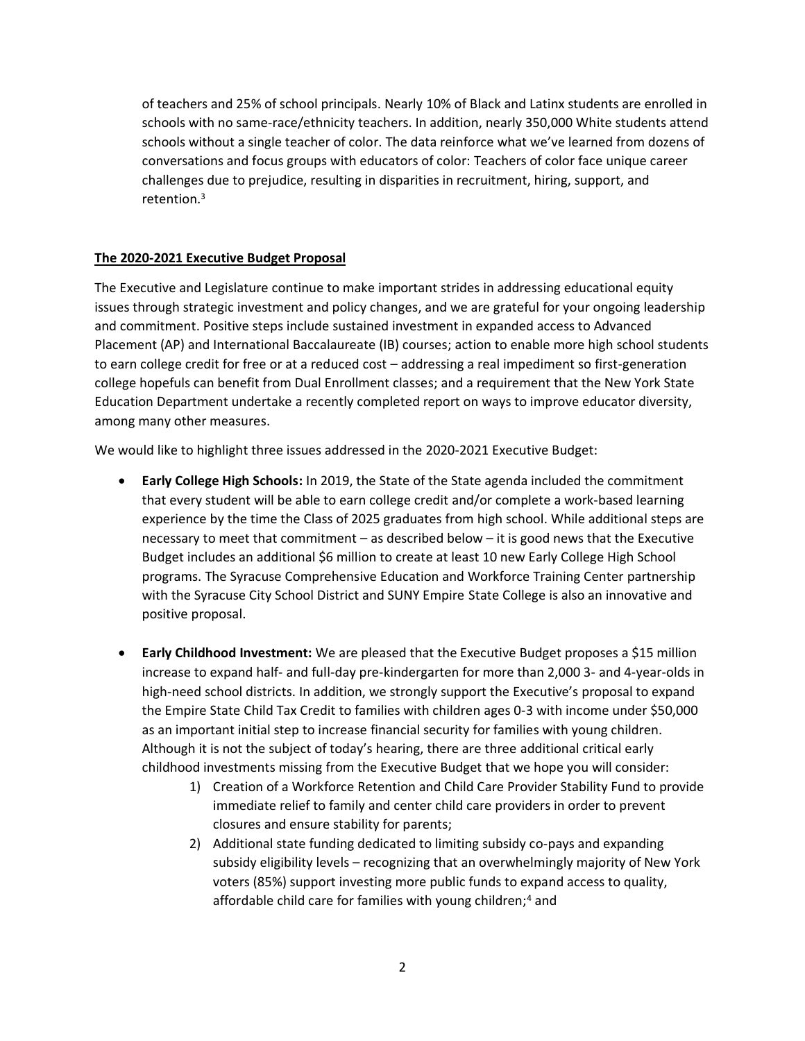of teachers and 25% of school principals. Nearly 10% of Black and Latinx students are enrolled in schools with no same-race/ethnicity teachers. In addition, nearly 350,000 White students attend schools without a single teacher of color. The data reinforce what we've learned from dozens of conversations and focus groups with educators of color: Teachers of color face unique career challenges due to prejudice, resulting in disparities in recruitment, hiring, support, and retention.<sup>3</sup>

## **The 2020-2021 Executive Budget Proposal**

The Executive and Legislature continue to make important strides in addressing educational equity issues through strategic investment and policy changes, and we are grateful for your ongoing leadership and commitment. Positive steps include sustained investment in expanded access to Advanced Placement (AP) and International Baccalaureate (IB) courses; action to enable more high school students to earn college credit for free or at a reduced cost – addressing a real impediment so first-generation college hopefuls can benefit from Dual Enrollment classes; and a requirement that the New York State Education Department undertake a recently completed report on ways to improve educator diversity, among many other measures.

We would like to highlight three issues addressed in the 2020-2021 Executive Budget:

- **Early College High Schools:** In 2019, the State of the State agenda included the commitment that every student will be able to earn college credit and/or complete a work-based learning experience by the time the Class of 2025 graduates from high school. While additional steps are necessary to meet that commitment – as described below – it is good news that the Executive Budget includes an additional \$6 million to create at least 10 new Early College High School programs. The Syracuse Comprehensive Education and Workforce Training Center partnership with the Syracuse City School District and SUNY Empire State College is also an innovative and positive proposal.
- **Early Childhood Investment:** We are pleased that the Executive Budget proposes a \$15 million increase to expand half- and full-day pre-kindergarten for more than 2,000 3- and 4-year-olds in high-need school districts. In addition, we strongly support the Executive's proposal to expand the Empire State Child Tax Credit to families with children ages 0-3 with income under \$50,000 as an important initial step to increase financial security for families with young children. Although it is not the subject of today's hearing, there are three additional critical early childhood investments missing from the Executive Budget that we hope you will consider:
	- 1) Creation of a Workforce Retention and Child Care Provider Stability Fund to provide immediate relief to family and center child care providers in order to prevent closures and ensure stability for parents;
	- 2) Additional state funding dedicated to limiting subsidy co-pays and expanding subsidy eligibility levels – recognizing that an overwhelmingly majority of New York voters (85%) support investing more public funds to expand access to quality, affordable child care for families with young children; <sup>4</sup> and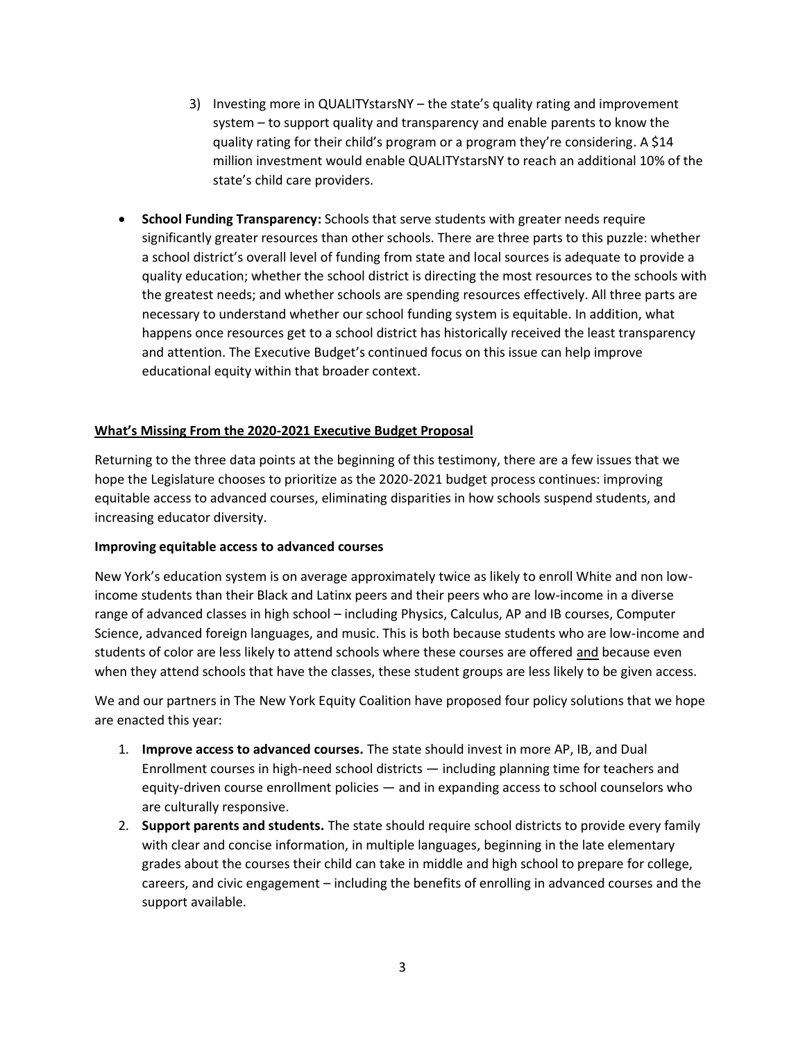- 3) Investing more in QUALITYstarsNY the state's quality rating and improvement system – to support quality and transparency and enable parents to know the quality rating for their child's program or a program they're considering. A \$14 million investment would enable QUALITYstarsNY to reach an additional 10% of the state's child care providers.
- **School Funding Transparency:** Schools that serve students with greater needs require significantly greater resources than other schools. There are three parts to this puzzle: whether a school district's overall level of funding from state and local sources is adequate to provide a quality education; whether the school district is directing the most resources to the schools with the greatest needs; and whether schools are spending resources effectively. All three parts are necessary to understand whether our school funding system is equitable. In addition, what happens once resources get to a school district has historically received the least transparency and attention. The Executive Budget's continued focus on this issue can help improve educational equity within that broader context.

## **What's Missing From the 2020-2021 Executive Budget Proposal**

Returning to the three data points at the beginning of this testimony, there are a few issues that we hope the Legislature chooses to prioritize as the 2020-2021 budget process continues: improving equitable access to advanced courses, eliminating disparities in how schools suspend students, and increasing educator diversity.

### **Improving equitable access to advanced courses**

New York's education system is on average approximately twice as likely to enroll White and non lowincome students than their Black and Latinx peers and their peers who are low-income in a diverse range of advanced classes in high school – including Physics, Calculus, AP and IB courses, Computer Science, advanced foreign languages, and music. This is both because students who are low-income and students of color are less likely to attend schools where these courses are offered and because even when they attend schools that have the classes, these student groups are less likely to be given access.

We and our partners in The New York Equity Coalition have proposed four policy solutions that we hope are enacted this year:

- 1. **Improve access to advanced courses.** The state should invest in more AP, IB, and Dual Enrollment courses in high-need school districts — including planning time for teachers and equity-driven course enrollment policies — and in expanding access to school counselors who are culturally responsive.
- 2. **Support parents and students.** The state should require school districts to provide every family with clear and concise information, in multiple languages, beginning in the late elementary grades about the courses their child can take in middle and high school to prepare for college, careers, and civic engagement – including the benefits of enrolling in advanced courses and the support available.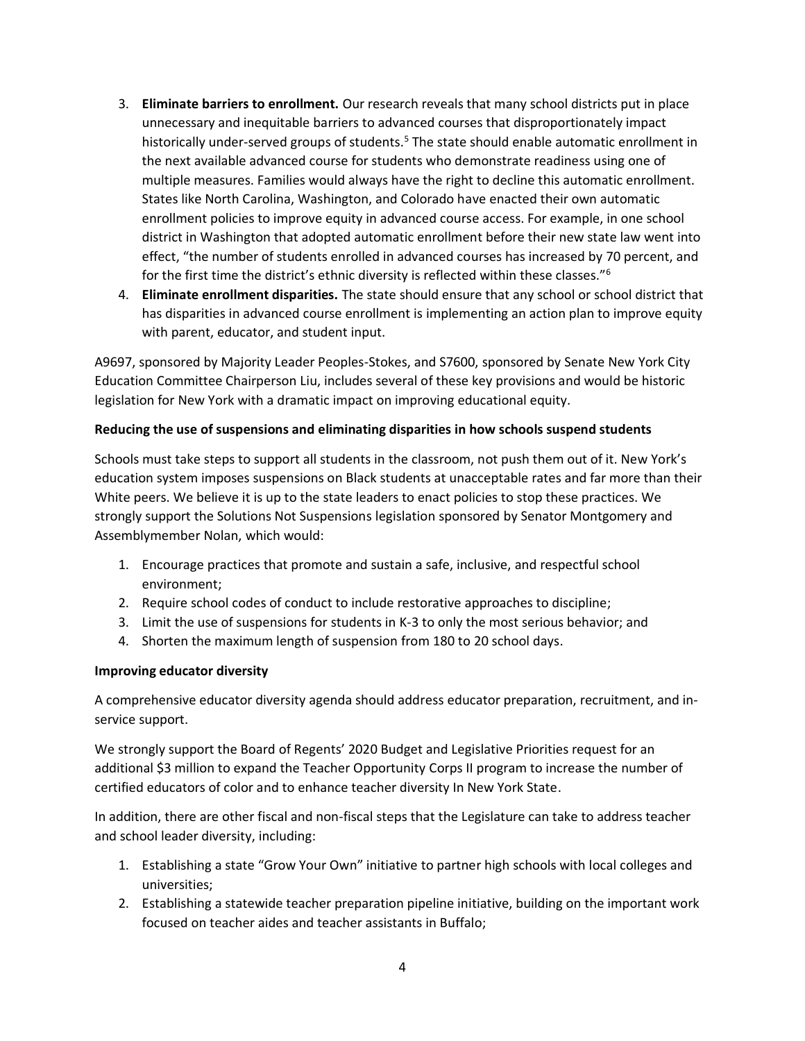- 3. **Eliminate barriers to enrollment.** Our research reveals that many school districts put in place unnecessary and inequitable barriers to advanced courses that disproportionately impact historically under-served groups of students.<sup>5</sup> The state should enable automatic enrollment in the next available advanced course for students who demonstrate readiness using one of multiple measures. Families would always have the right to decline this automatic enrollment. States like North Carolina, Washington, and Colorado have enacted their own automatic enrollment policies to improve equity in advanced course access. For example, in one school district in Washington that adopted automatic enrollment before their new state law went into effect, "the number of students enrolled in advanced courses has increased by 70 percent, and for the first time the district's ethnic diversity is reflected within these classes."<sup>6</sup>
- 4. **Eliminate enrollment disparities.** The state should ensure that any school or school district that has disparities in advanced course enrollment is implementing an action plan to improve equity with parent, educator, and student input.

A9697, sponsored by Majority Leader Peoples-Stokes, and S7600, sponsored by Senate New York City Education Committee Chairperson Liu, includes several of these key provisions and would be historic legislation for New York with a dramatic impact on improving educational equity.

### **Reducing the use of suspensions and eliminating disparities in how schools suspend students**

Schools must take steps to support all students in the classroom, not push them out of it. New York's education system imposes suspensions on Black students at unacceptable rates and far more than their White peers. We believe it is up to the state leaders to enact policies to stop these practices. We strongly support the Solutions Not Suspensions legislation sponsored by Senator Montgomery and Assemblymember Nolan, which would:

- 1. Encourage practices that promote and sustain a safe, inclusive, and respectful school environment;
- 2. Require school codes of conduct to include restorative approaches to discipline;
- 3. Limit the use of suspensions for students in K-3 to only the most serious behavior; and
- 4. Shorten the maximum length of suspension from 180 to 20 school days.

### **Improving educator diversity**

A comprehensive educator diversity agenda should address educator preparation, recruitment, and inservice support.

We strongly support the Board of Regents' 2020 Budget and Legislative Priorities request for an additional \$3 million to expand the Teacher Opportunity Corps II program to increase the number of certified educators of color and to enhance teacher diversity In New York State.

In addition, there are other fiscal and non-fiscal steps that the Legislature can take to address teacher and school leader diversity, including:

- 1. Establishing a state "Grow Your Own" initiative to partner high schools with local colleges and universities;
- 2. Establishing a statewide teacher preparation pipeline initiative, building on the important work focused on teacher aides and teacher assistants in Buffalo;